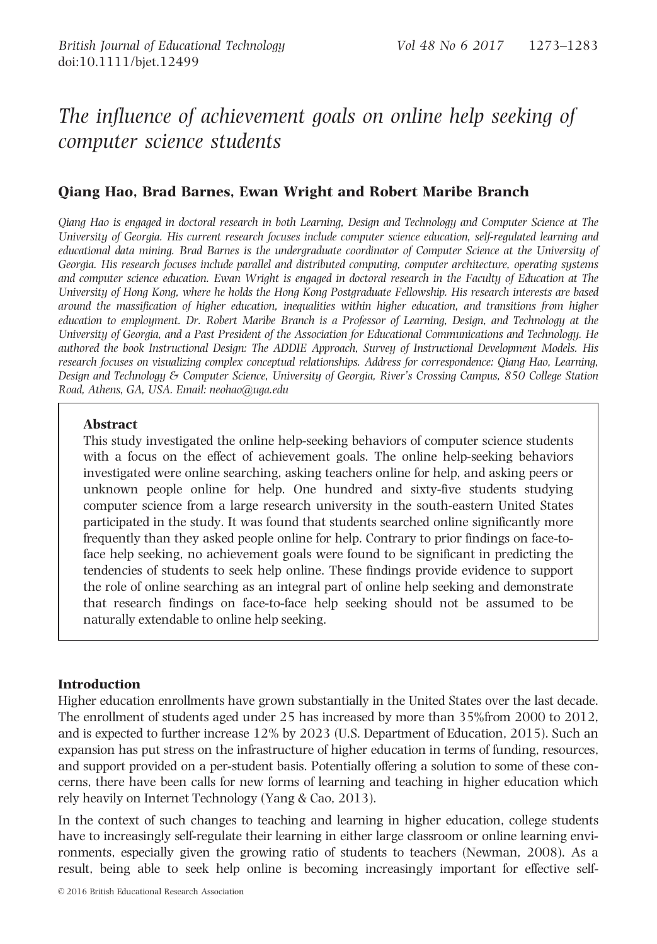# The influence of achievement goals on online help seeking of computer science students

# Qiang Hao, Brad Barnes, Ewan Wright and Robert Maribe Branch

Qiang Hao is engaged in doctoral research in both Learning, Design and Technology and Computer Science at The University of Georgia. His current research focuses include computer science education, self-regulated learning and educational data mining. Brad Barnes is the undergraduate coordinator of Computer Science at the University of Georgia. His research focuses include parallel and distributed computing, computer architecture, operating systems and computer science education. Ewan Wright is engaged in doctoral research in the Faculty of Education at The University of Hong Kong, where he holds the Hong Kong Postgraduate Fellowship. His research interests are based around the massification of higher education, inequalities within higher education, and transitions from higher education to employment. Dr. Robert Maribe Branch is a Professor of Learning, Design, and Technology at the University of Georgia, and a Past President of the Association for Educational Communications and Technology. He authored the book Instructional Design: The ADDIE Approach, Survey of Instructional Development Models. His research focuses on visualizing complex conceptual relationships. Address for correspondence: Qiang Hao, Learning, Design and Technology & Computer Science, University of Georgia, River's Crossing Campus, 850 College Station Road, Athens, GA, USA. Email: neohao@uga.edu

## Abstract

This study investigated the online help-seeking behaviors of computer science students with a focus on the effect of achievement goals. The online help-seeking behaviors investigated were online searching, asking teachers online for help, and asking peers or unknown people online for help. One hundred and sixty-five students studying computer science from a large research university in the south-eastern United States participated in the study. It was found that students searched online significantly more frequently than they asked people online for help. Contrary to prior findings on face-toface help seeking, no achievement goals were found to be significant in predicting the tendencies of students to seek help online. These findings provide evidence to support the role of online searching as an integral part of online help seeking and demonstrate that research findings on face-to-face help seeking should not be assumed to be naturally extendable to online help seeking.

# Introduction

Higher education enrollments have grown substantially in the United States over the last decade. The enrollment of students aged under 25 has increased by more than 35%from 2000 to 2012, and is expected to further increase 12% by 2023 (U.S. Department of Education, 2015). Such an expansion has put stress on the infrastructure of higher education in terms of funding, resources, and support provided on a per-student basis. Potentially offering a solution to some of these concerns, there have been calls for new forms of learning and teaching in higher education which rely heavily on Internet Technology (Yang & Cao, 2013).

In the context of such changes to teaching and learning in higher education, college students have to increasingly self-regulate their learning in either large classroom or online learning environments, especially given the growing ratio of students to teachers (Newman, 2008). As a result, being able to seek help online is becoming increasingly important for effective self-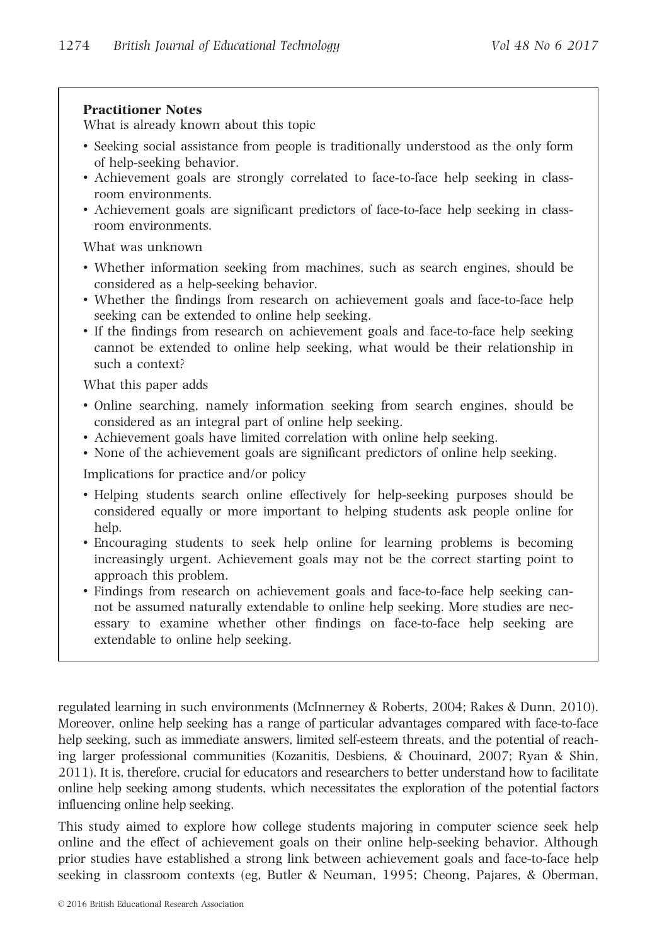# Practitioner Notes

What is already known about this topic

- Seeking social assistance from people is traditionally understood as the only form of help-seeking behavior.
- Achievement goals are strongly correlated to face-to-face help seeking in classroom environments.
- Achievement goals are significant predictors of face-to-face help seeking in classroom environments.

What was unknown

- Whether information seeking from machines, such as search engines, should be considered as a help-seeking behavior.
- Whether the findings from research on achievement goals and face-to-face help seeking can be extended to online help seeking.
- If the findings from research on achievement goals and face-to-face help seeking cannot be extended to online help seeking, what would be their relationship in such a context?

What this paper adds

- Online searching, namely information seeking from search engines, should be considered as an integral part of online help seeking.
- Achievement goals have limited correlation with online help seeking.
- None of the achievement goals are significant predictors of online help seeking.

Implications for practice and/or policy

- Helping students search online effectively for help-seeking purposes should be considered equally or more important to helping students ask people online for help.
- Encouraging students to seek help online for learning problems is becoming increasingly urgent. Achievement goals may not be the correct starting point to approach this problem.
- Findings from research on achievement goals and face-to-face help seeking cannot be assumed naturally extendable to online help seeking. More studies are necessary to examine whether other findings on face-to-face help seeking are extendable to online help seeking.

regulated learning in such environments (McInnerney & Roberts, 2004; Rakes & Dunn, 2010). Moreover, online help seeking has a range of particular advantages compared with face-to-face help seeking, such as immediate answers, limited self-esteem threats, and the potential of reaching larger professional communities (Kozanitis, Desbiens, & Chouinard, 2007; Ryan & Shin, 2011). It is, therefore, crucial for educators and researchers to better understand how to facilitate online help seeking among students, which necessitates the exploration of the potential factors influencing online help seeking.

This study aimed to explore how college students majoring in computer science seek help online and the effect of achievement goals on their online help-seeking behavior. Although prior studies have established a strong link between achievement goals and face-to-face help seeking in classroom contexts (eg, Butler & Neuman, 1995; Cheong, Pajares, & Oberman,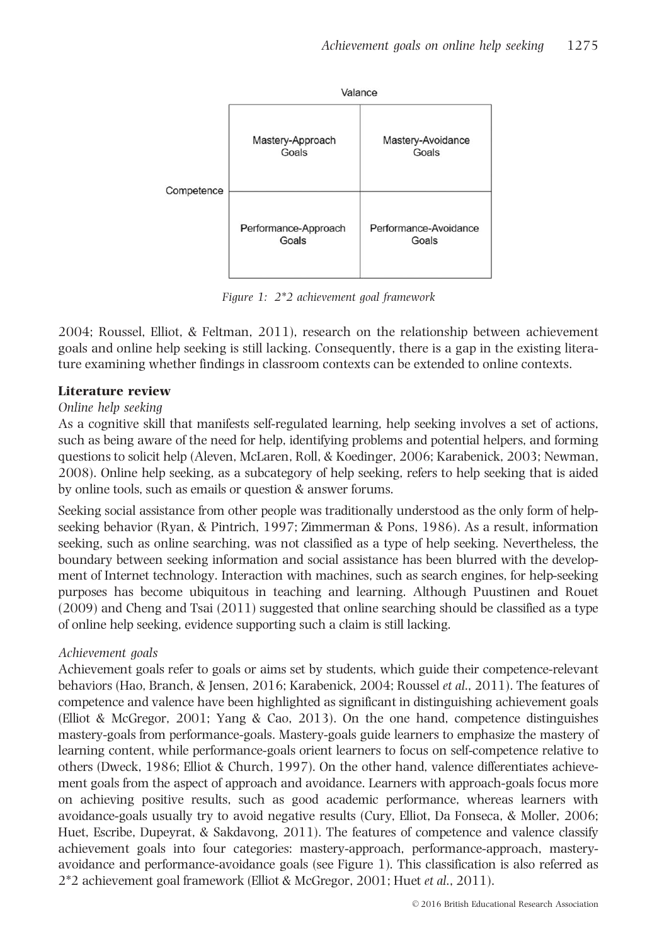

Figure 1: 2\*2 achievement goal framework

2004; Roussel, Elliot, & Feltman, 2011), research on the relationship between achievement goals and online help seeking is still lacking. Consequently, there is a gap in the existing literature examining whether findings in classroom contexts can be extended to online contexts.

## Literature review

## Online help seeking

As a cognitive skill that manifests self-regulated learning, help seeking involves a set of actions, such as being aware of the need for help, identifying problems and potential helpers, and forming questions to solicit help (Aleven, McLaren, Roll, & Koedinger, 2006; Karabenick, 2003; Newman, 2008). Online help seeking, as a subcategory of help seeking, refers to help seeking that is aided by online tools, such as emails or question & answer forums.

Seeking social assistance from other people was traditionally understood as the only form of helpseeking behavior (Ryan, & Pintrich, 1997; Zimmerman & Pons, 1986). As a result, information seeking, such as online searching, was not classified as a type of help seeking. Nevertheless, the boundary between seeking information and social assistance has been blurred with the development of Internet technology. Interaction with machines, such as search engines, for help-seeking purposes has become ubiquitous in teaching and learning. Although Puustinen and Rouet (2009) and Cheng and Tsai (2011) suggested that online searching should be classified as a type of online help seeking, evidence supporting such a claim is still lacking.

## Achievement goals

Achievement goals refer to goals or aims set by students, which guide their competence-relevant behaviors (Hao, Branch, & Jensen, 2016; Karabenick, 2004; Roussel et al., 2011). The features of competence and valence have been highlighted as significant in distinguishing achievement goals (Elliot & McGregor, 2001; Yang & Cao, 2013). On the one hand, competence distinguishes mastery-goals from performance-goals. Mastery-goals guide learners to emphasize the mastery of learning content, while performance-goals orient learners to focus on self-competence relative to others (Dweck, 1986; Elliot & Church, 1997). On the other hand, valence differentiates achievement goals from the aspect of approach and avoidance. Learners with approach-goals focus more on achieving positive results, such as good academic performance, whereas learners with avoidance-goals usually try to avoid negative results (Cury, Elliot, Da Fonseca, & Moller, 2006; Huet, Escribe, Dupeyrat, & Sakdavong, 2011). The features of competence and valence classify achievement goals into four categories: mastery-approach, performance-approach, masteryavoidance and performance-avoidance goals (see Figure 1). This classification is also referred as 2\*2 achievement goal framework (Elliot & McGregor, 2001; Huet et al., 2011).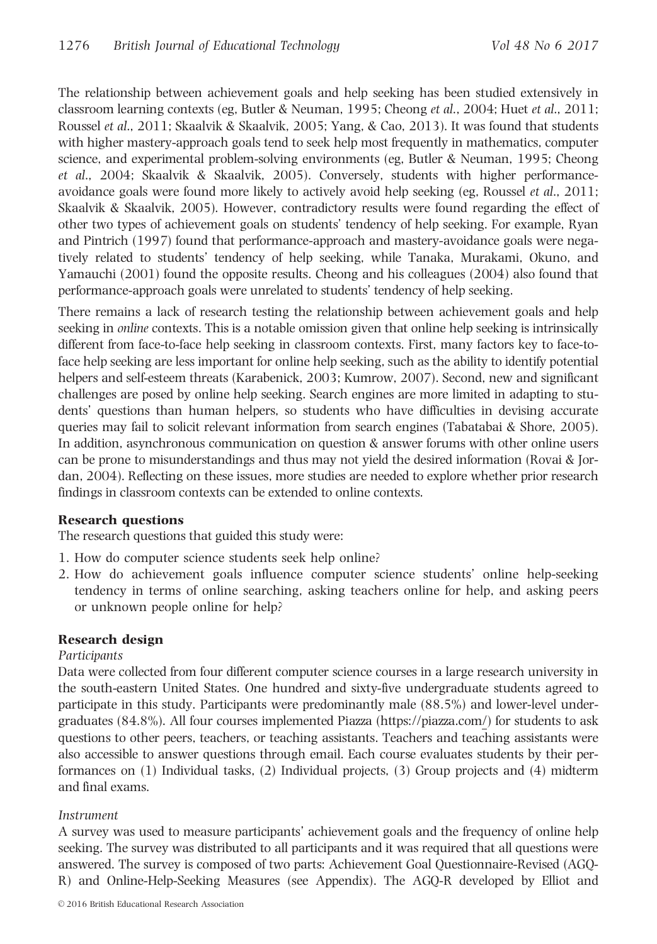The relationship between achievement goals and help seeking has been studied extensively in classroom learning contexts (eg, Butler & Neuman, 1995; Cheong et al., 2004; Huet et al., 2011; Roussel et al., 2011; Skaalvik & Skaalvik, 2005; Yang, & Cao, 2013). It was found that students with higher mastery-approach goals tend to seek help most frequently in mathematics, computer science, and experimental problem-solving environments (eg, Butler & Neuman, 1995; Cheong et al., 2004; Skaalvik & Skaalvik, 2005). Conversely, students with higher performanceavoidance goals were found more likely to actively avoid help seeking (eg, Roussel et al., 2011; Skaalvik & Skaalvik, 2005). However, contradictory results were found regarding the effect of other two types of achievement goals on students' tendency of help seeking. For example, Ryan and Pintrich (1997) found that performance-approach and mastery-avoidance goals were negatively related to students' tendency of help seeking, while Tanaka, Murakami, Okuno, and Yamauchi (2001) found the opposite results. Cheong and his colleagues (2004) also found that performance-approach goals were unrelated to students' tendency of help seeking.

There remains a lack of research testing the relationship between achievement goals and help seeking in online contexts. This is a notable omission given that online help seeking is intrinsically different from face-to-face help seeking in classroom contexts. First, many factors key to face-toface help seeking are less important for online help seeking, such as the ability to identify potential helpers and self-esteem threats (Karabenick, 2003; Kumrow, 2007). Second, new and significant challenges are posed by online help seeking. Search engines are more limited in adapting to students' questions than human helpers, so students who have difficulties in devising accurate queries may fail to solicit relevant information from search engines (Tabatabai & Shore, 2005). In addition, asynchronous communication on question & answer forums with other online users can be prone to misunderstandings and thus may not yield the desired information (Rovai & Jordan, 2004). Reflecting on these issues, more studies are needed to explore whether prior research findings in classroom contexts can be extended to online contexts.

# Research questions

The research questions that guided this study were:

- 1. How do computer science students seek help online?
- 2. How do achievement goals influence computer science students' online help-seeking tendency in terms of online searching, asking teachers online for help, and asking peers or unknown people online for help?

# Research design

## Participants

Data were collected from four different computer science courses in a large research university in the south-eastern United States. One hundred and sixty-five undergraduate students agreed to participate in this study. Participants were predominantly male (88.5%) and lower-level undergraduates (84.8%). All four courses implemented Piazza ([https://piazza.com/](http://https://piazza.com)) for students to ask questions to other peers, teachers, or teaching assistants. Teachers and teaching assistants were also accessible to answer questions through email. Each course evaluates students by their performances on (1) Individual tasks, (2) Individual projects, (3) Group projects and (4) midterm and final exams.

## Instrument

A survey was used to measure participants' achievement goals and the frequency of online help seeking. The survey was distributed to all participants and it was required that all questions were answered. The survey is composed of two parts: Achievement Goal Questionnaire-Revised (AGQ-R) and Online-Help-Seeking Measures (see Appendix). The AGQ-R developed by Elliot and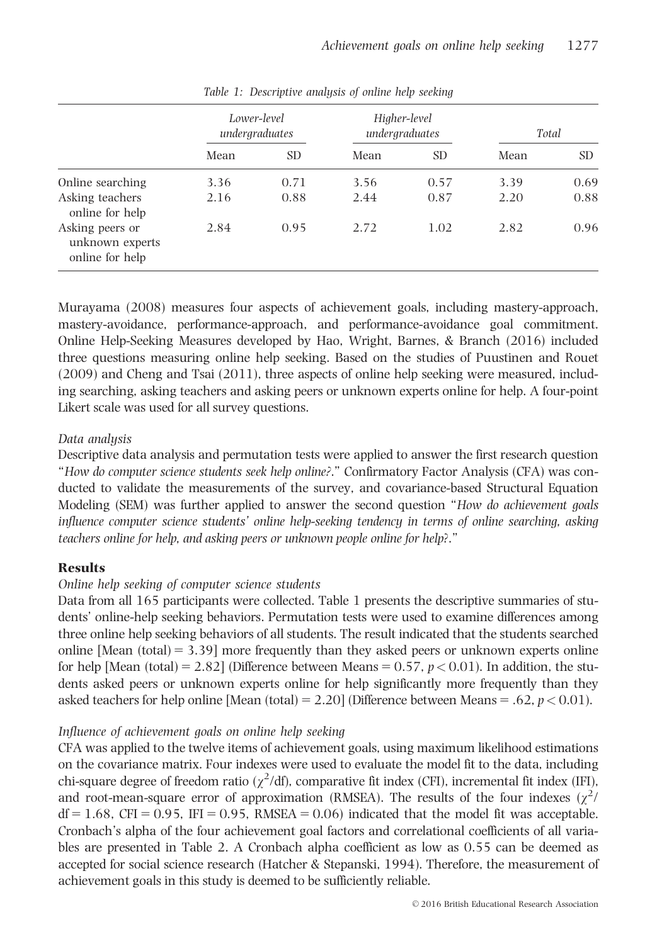|                                                       | Lower-level<br>undergraduates |      | Higher-level<br>undergraduates |      | Total |      |
|-------------------------------------------------------|-------------------------------|------|--------------------------------|------|-------|------|
|                                                       | Mean                          | SD.  | Mean                           | SD   | Mean  | SD.  |
| Online searching                                      | 3.36                          | 0.71 | 3.56                           | 0.57 | 3.39  | 0.69 |
| Asking teachers<br>online for help                    | 2.16                          | 0.88 | 2.44                           | 0.87 | 2.20  | 0.88 |
| Asking peers or<br>unknown experts<br>online for help | 2.84                          | 0.95 | 2.72                           | 1.02 | 2.82  | 0.96 |

Table 1: Descriptive analysis of online help seeking

Murayama (2008) measures four aspects of achievement goals, including mastery-approach, mastery-avoidance, performance-approach, and performance-avoidance goal commitment. Online Help-Seeking Measures developed by Hao, Wright, Barnes, & Branch (2016) included three questions measuring online help seeking. Based on the studies of Puustinen and Rouet (2009) and Cheng and Tsai (2011), three aspects of online help seeking were measured, including searching, asking teachers and asking peers or unknown experts online for help. A four-point Likert scale was used for all survey questions.

#### Data analysis

Descriptive data analysis and permutation tests were applied to answer the first research question "How do computer science students seek help online?." Confirmatory Factor Analysis (CFA) was conducted to validate the measurements of the survey, and covariance-based Structural Equation Modeling (SEM) was further applied to answer the second question "How do achievement goals influence computer science students' online help-seeking tendency in terms of online searching, asking teachers online for help, and asking peers or unknown people online for help?."

## Results

#### Online help seeking of computer science students

Data from all 165 participants were collected. Table 1 presents the descriptive summaries of students' online-help seeking behaviors. Permutation tests were used to examine differences among three online help seeking behaviors of all students. The result indicated that the students searched online [Mean  $(total) = 3.39$ ] more frequently than they asked peers or unknown experts online for help [Mean (total) = 2.82] (Difference between Means =  $0.57$ ,  $p < 0.01$ ). In addition, the students asked peers or unknown experts online for help significantly more frequently than they asked teachers for help online [Mean (total) = 2.20] (Difference between Means = .62,  $p < 0.01$ ).

#### Influence of achievement goals on online help seeking

CFA was applied to the twelve items of achievement goals, using maximum likelihood estimations on the covariance matrix. Four indexes were used to evaluate the model fit to the data, including chi-square degree of freedom ratio ( $\chi^2$ /df), comparative fit index (CFI), incremental fit index (IFI), and root-mean-square error of approximation (RMSEA). The results of the four indexes  $(\chi^2$ /  $df = 1.68$ , CFI = 0.95, IFI = 0.95, RMSEA = 0.06) indicated that the model fit was acceptable. Cronbach's alpha of the four achievement goal factors and correlational coefficients of all variables are presented in Table 2. A Cronbach alpha coefficient as low as 0.55 can be deemed as accepted for social science research (Hatcher & Stepanski, 1994). Therefore, the measurement of achievement goals in this study is deemed to be sufficiently reliable.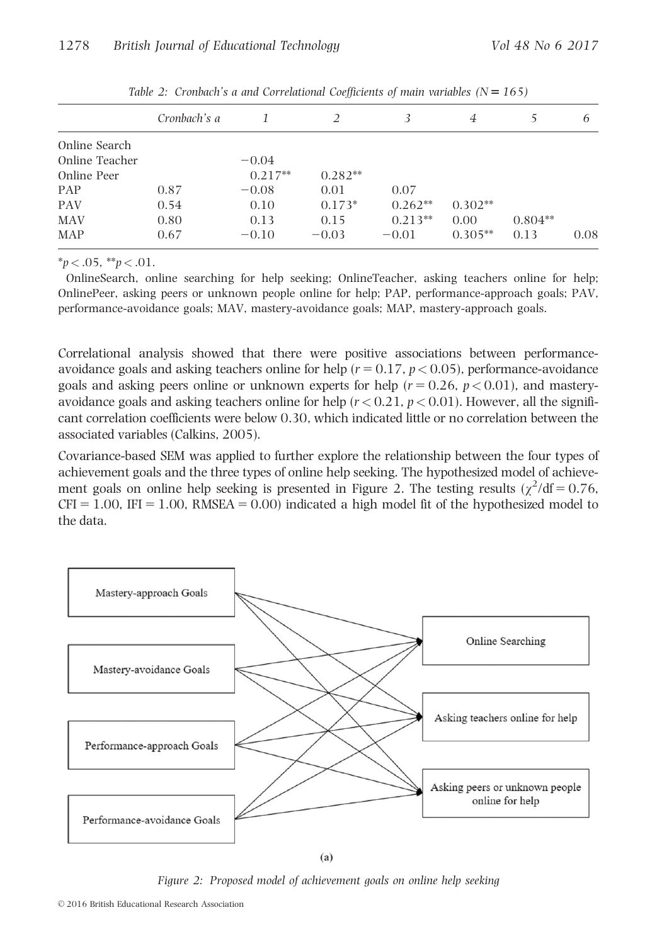|                | Cronbach's a |           |           | 3         | 4         | 5         | 6    |
|----------------|--------------|-----------|-----------|-----------|-----------|-----------|------|
| Online Search  |              |           |           |           |           |           |      |
| Online Teacher |              | $-0.04$   |           |           |           |           |      |
| Online Peer    |              | $0.217**$ | $0.282**$ |           |           |           |      |
| PAP            | 0.87         | $-0.08$   | 0.01      | 0.07      |           |           |      |
| <b>PAV</b>     | 0.54         | 0.10      | $0.173*$  | $0.262**$ | $0.302**$ |           |      |
| <b>MAV</b>     | 0.80         | 0.13      | 0.15      | $0.213**$ | 0.00      | $0.804**$ |      |
| <b>MAP</b>     | 0.67         | $-0.10$   | $-0.03$   | $-0.01$   | $0.305**$ | 0.13      | 0.08 |

Table 2: Cronbach's a and Correlational Coefficients of main variables ( $N = 165$ )

 $*p < .05, **p < .01.$ 

OnlineSearch, online searching for help seeking; OnlineTeacher, asking teachers online for help; OnlinePeer, asking peers or unknown people online for help; PAP, performance-approach goals; PAV, performance-avoidance goals; MAV, mastery-avoidance goals; MAP, mastery-approach goals.

Correlational analysis showed that there were positive associations between performanceavoidance goals and asking teachers online for help ( $r = 0.17$ ,  $p < 0.05$ ), performance-avoidance goals and asking peers online or unknown experts for help ( $r = 0.26$ ,  $p < 0.01$ ), and masteryavoidance goals and asking teachers online for help  $(r < 0.21, p < 0.01)$ . However, all the significant correlation coefficients were below 0.30, which indicated little or no correlation between the associated variables (Calkins, 2005).

Covariance-based SEM was applied to further explore the relationship between the four types of achievement goals and the three types of online help seeking. The hypothesized model of achievement goals on online help seeking is presented in Figure 2. The testing results ( $\chi^2/df = 0.76$ ,  $CFI = 1.00$ , IFI = 1.00, RMSEA = 0.00) indicated a high model fit of the hypothesized model to the data.



 $(a)$ 

Figure 2: Proposed model of achievement goals on online help seeking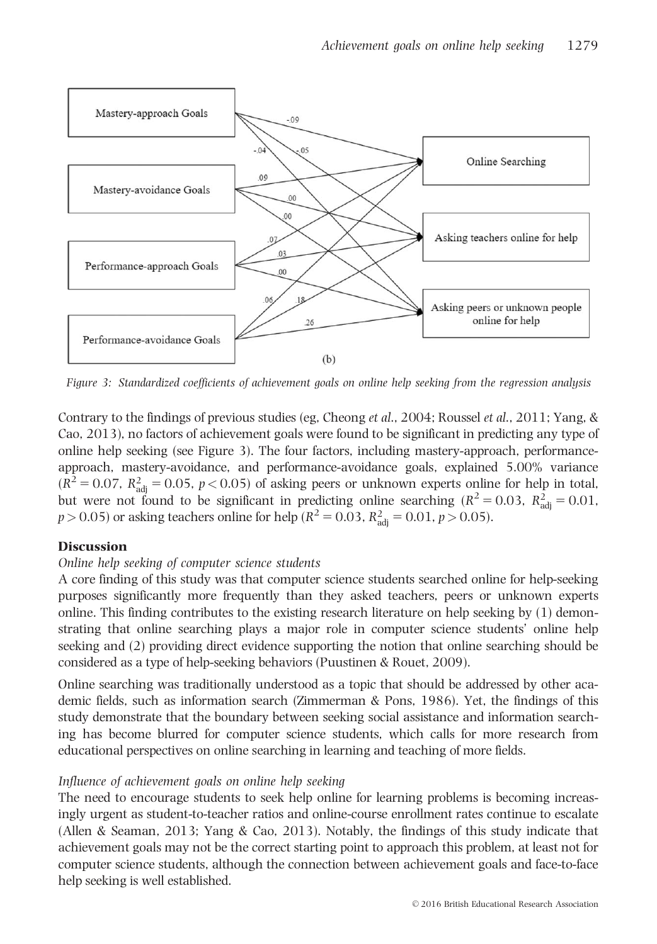

Figure 3: Standardized coefficients of achievement goals on online help seeking from the regression analysis

Contrary to the findings of previous studies (eg. Cheong et al., 2004; Roussel et al., 2011; Yang, & Cao, 2013), no factors of achievement goals were found to be significant in predicting any type of online help seeking (see Figure 3). The four factors, including mastery-approach, performanceapproach, mastery-avoidance, and performance-avoidance goals, explained 5.00% variance  $(R^2 = 0.07, R^2_{\text{adj}} = 0.05, p < 0.05)$  of asking peers or unknown experts online for help in total, but were not found to be significant in predicting online searching ( $R^2 = 0.03$ ,  $R^2_{\text{adj}} = 0.01$ ,  $p > 0.05$ ) or asking teachers online for help ( $R^2 = 0.03$ ,  $R^2_{\text{adj}} = 0.01$ ,  $p > 0.05$ ).

# **Discussion**

## Online help seeking of computer science students

A core finding of this study was that computer science students searched online for help-seeking purposes significantly more frequently than they asked teachers, peers or unknown experts online. This finding contributes to the existing research literature on help seeking by (1) demonstrating that online searching plays a major role in computer science students' online help seeking and (2) providing direct evidence supporting the notion that online searching should be considered as a type of help-seeking behaviors (Puustinen & Rouet, 2009).

Online searching was traditionally understood as a topic that should be addressed by other academic fields, such as information search (Zimmerman & Pons, 1986). Yet, the findings of this study demonstrate that the boundary between seeking social assistance and information searching has become blurred for computer science students, which calls for more research from educational perspectives on online searching in learning and teaching of more fields.

## Influence of achievement goals on online help seeking

The need to encourage students to seek help online for learning problems is becoming increasingly urgent as student-to-teacher ratios and online-course enrollment rates continue to escalate (Allen & Seaman, 2013; Yang & Cao, 2013). Notably, the findings of this study indicate that achievement goals may not be the correct starting point to approach this problem, at least not for computer science students, although the connection between achievement goals and face-to-face help seeking is well established.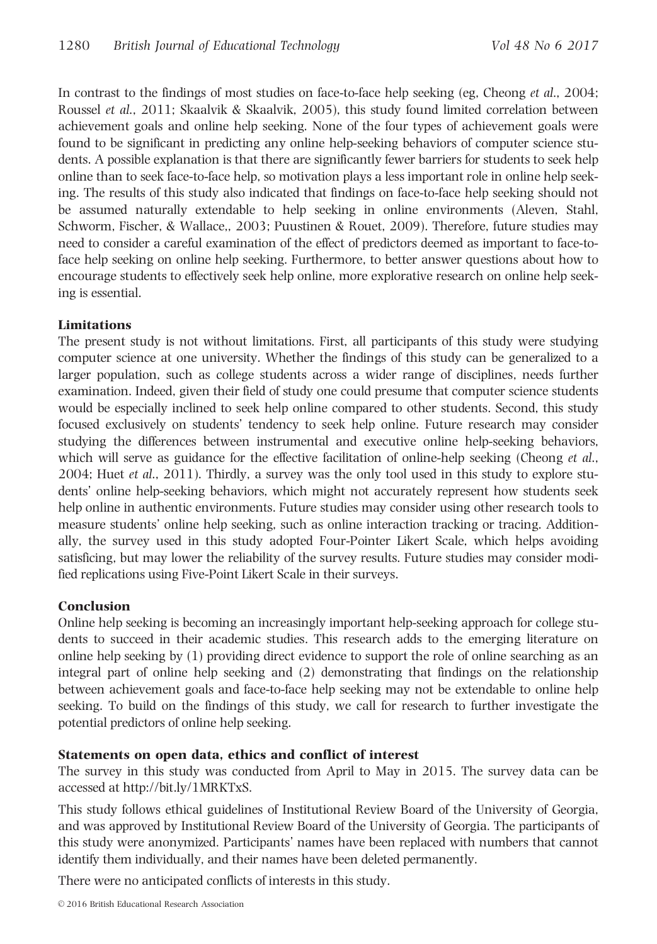In contrast to the findings of most studies on face-to-face help seeking (eg, Cheong et al., 2004; Roussel et al., 2011; Skaalvik & Skaalvik, 2005), this study found limited correlation between achievement goals and online help seeking. None of the four types of achievement goals were found to be significant in predicting any online help-seeking behaviors of computer science students. A possible explanation is that there are significantly fewer barriers for students to seek help online than to seek face-to-face help, so motivation plays a less important role in online help seeking. The results of this study also indicated that findings on face-to-face help seeking should not be assumed naturally extendable to help seeking in online environments (Aleven, Stahl, Schworm, Fischer, & Wallace,, 2003; Puustinen & Rouet, 2009). Therefore, future studies may need to consider a careful examination of the effect of predictors deemed as important to face-toface help seeking on online help seeking. Furthermore, to better answer questions about how to encourage students to effectively seek help online, more explorative research on online help seeking is essential.

# Limitations

The present study is not without limitations. First, all participants of this study were studying computer science at one university. Whether the findings of this study can be generalized to a larger population, such as college students across a wider range of disciplines, needs further examination. Indeed, given their field of study one could presume that computer science students would be especially inclined to seek help online compared to other students. Second, this study focused exclusively on students' tendency to seek help online. Future research may consider studying the differences between instrumental and executive online help-seeking behaviors, which will serve as guidance for the effective facilitation of online-help seeking (Cheong et al., 2004; Huet et al., 2011). Thirdly, a survey was the only tool used in this study to explore students' online help-seeking behaviors, which might not accurately represent how students seek help online in authentic environments. Future studies may consider using other research tools to measure students' online help seeking, such as online interaction tracking or tracing. Additionally, the survey used in this study adopted Four-Pointer Likert Scale, which helps avoiding satisficing, but may lower the reliability of the survey results. Future studies may consider modified replications using Five-Point Likert Scale in their surveys.

## Conclusion

Online help seeking is becoming an increasingly important help-seeking approach for college students to succeed in their academic studies. This research adds to the emerging literature on online help seeking by (1) providing direct evidence to support the role of online searching as an integral part of online help seeking and (2) demonstrating that findings on the relationship between achievement goals and face-to-face help seeking may not be extendable to online help seeking. To build on the findings of this study, we call for research to further investigate the potential predictors of online help seeking.

## Statements on open data, ethics and conflict of interest

The survey in this study was conducted from April to May in 2015. The survey data can be accessed at [http://bit.ly/1MRKTxS.](http://bit.ly/1MRKTxS)

This study follows ethical guidelines of Institutional Review Board of the University of Georgia, and was approved by Institutional Review Board of the University of Georgia. The participants of this study were anonymized. Participants' names have been replaced with numbers that cannot identify them individually, and their names have been deleted permanently.

There were no anticipated conflicts of interests in this study.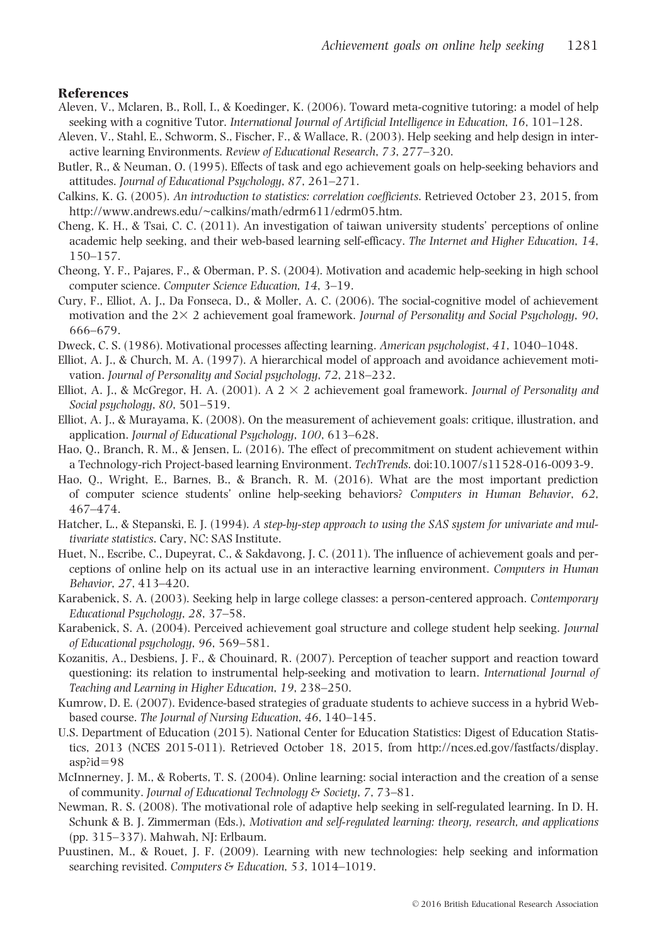#### References

- Aleven, V., Mclaren, B., Roll, I., & Koedinger, K. (2006). Toward meta-cognitive tutoring: a model of help seeking with a cognitive Tutor. International Journal of Artificial Intelligence in Education, 16, 101–128.
- Aleven, V., Stahl, E., Schworm, S., Fischer, F., & Wallace, R. (2003). Help seeking and help design in interactive learning Environments. Review of Educational Research, 73, 277–320.
- Butler, R., & Neuman, O. (1995). Effects of task and ego achievement goals on help-seeking behaviors and attitudes. Journal of Educational Psychology, 87, 261–271.
- Calkins, K. G. (2005). An introduction to statistics: correlation coefficients. Retrieved October 23, 2015, from [http://www.andrews.edu/~calkins/math/edrm611/edrm05.htm.](http://www.andrews.edu/~calkins/math/edrm611/edrm05.htm)
- Cheng, K. H., & Tsai, C. C. (2011). An investigation of taiwan university students' perceptions of online academic help seeking, and their web-based learning self-efficacy. The Internet and Higher Education, 14, 150–157.
- Cheong, Y. F., Pajares, F., & Oberman, P. S. (2004). Motivation and academic help-seeking in high school computer science. Computer Science Education, 14, 3–19.
- Cury, F., Elliot, A. J., Da Fonseca, D., & Moller, A. C. (2006). The social-cognitive model of achievement motivation and the  $2\times 2$  achievement goal framework. Journal of Personality and Social Psychology, 90, 666–679.
- Dweck, C. S. (1986). Motivational processes affecting learning. American psychologist, 41, 1040–1048.
- Elliot, A. J., & Church, M. A. (1997). A hierarchical model of approach and avoidance achievement motivation. Journal of Personality and Social psychology, 72, 218–232.
- Elliot, A. J., & McGregor, H. A. (2001). A  $2 \times 2$  achievement goal framework. Journal of Personality and Social psychology, 80, 501–519.
- Elliot, A. J., & Murayama, K. (2008). On the measurement of achievement goals: critique, illustration, and application. Journal of Educational Psychology, 100, 613–628.
- Hao, Q., Branch, R. M., & Jensen, L. (2016). The effect of precommitment on student achievement within a Technology-rich Project-based learning Environment. TechTrends. doi:10.1007/s11528-016-0093-9.
- Hao, Q., Wright, E., Barnes, B., & Branch, R. M. (2016). What are the most important prediction of computer science students' online help-seeking behaviors? Computers in Human Behavior, 62, 467–474.
- Hatcher, L., & Stepanski, E. J. (1994). A step-by-step approach to using the SAS system for univariate and multivariate statistics. Cary, NC: SAS Institute.
- Huet, N., Escribe, C., Dupeyrat, C., & Sakdavong, J. C. (2011). The influence of achievement goals and perceptions of online help on its actual use in an interactive learning environment. Computers in Human Behavior, 27, 413–420.
- Karabenick, S. A. (2003). Seeking help in large college classes: a person-centered approach. Contemporary Educational Psychology, 28, 37–58.
- Karabenick, S. A. (2004). Perceived achievement goal structure and college student help seeking. Journal of Educational psychology, 96, 569–581.
- Kozanitis, A., Desbiens, J. F., & Chouinard, R. (2007). Perception of teacher support and reaction toward questioning: its relation to instrumental help-seeking and motivation to learn. International Journal of Teaching and Learning in Higher Education, 19, 238–250.
- Kumrow, D. E. (2007). Evidence-based strategies of graduate students to achieve success in a hybrid Webbased course. The Journal of Nursing Education, 46, 140–145.
- U.S. Department of Education (2015). National Center for Education Statistics: Digest of Education Statistics, 2013 (NCES 2015-011). Retrieved October 18, 2015, fro[m http://nces.ed.gov/fastfacts/display.](http:// http://nces.ed.gov/fastfacts/display.asp?id=98 ) [asp?id](http:// http://nces.ed.gov/fastfacts/display.asp?id=98 )= $98$
- McInnerney, J. M., & Roberts, T. S. (2004). Online learning: social interaction and the creation of a sense of community. Journal of Educational Technology & Society, 7, 73–81.
- Newman, R. S. (2008). The motivational role of adaptive help seeking in self-regulated learning. In D. H. Schunk & B. J. Zimmerman (Eds.), Motivation and self-regulated learning: theory, research, and applications (pp. 315–337). Mahwah, NJ: Erlbaum.
- Puustinen, M., & Rouet, J. F. (2009). Learning with new technologies: help seeking and information searching revisited. Computers & Education, 53, 1014–1019.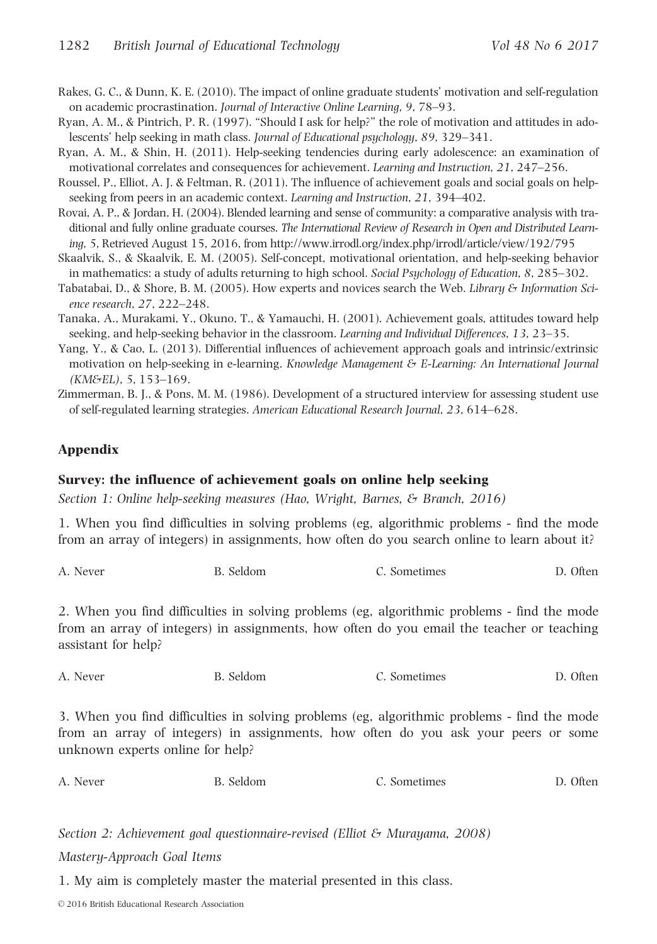- Rakes, G. C., & Dunn, K. E. (2010). The impact of online graduate students' motivation and self-regulation on academic procrastination. Journal of Interactive Online Learning, 9, 78–93.
- Ryan, A. M., & Pintrich, P. R. (1997). "Should I ask for help?" the role of motivation and attitudes in adolescents' help seeking in math class. Journal of Educational psychology, 89, 329–341.
- Ryan, A. M., & Shin, H. (2011). Help-seeking tendencies during early adolescence: an examination of motivational correlates and consequences for achievement. Learning and Instruction, 21, 247–256.
- Roussel, P., Elliot, A. J. & Feltman, R. (2011). The influence of achievement goals and social goals on helpseeking from peers in an academic context. Learning and Instruction, 21, 394–402.
- Rovai, A. P., & Jordan, H. (2004). Blended learning and sense of community: a comparative analysis with traditional and fully online graduate courses. The International Review of Research in Open and Distributed Learning, 5, Retrieved August 15, 2016, from<http://www.irrodl.org/index.php/irrodl/article/view/192/795>
- Skaalvik, S., & Skaalvik, E. M. (2005). Self-concept, motivational orientation, and help-seeking behavior in mathematics: a study of adults returning to high school. Social Psychology of Education, 8, 285–302.
- Tabatabai, D., & Shore, B. M. (2005). How experts and novices search the Web. Library & Information Science research, 27, 222–248.
- Tanaka, A., Murakami, Y., Okuno, T., & Yamauchi, H. (2001). Achievement goals, attitudes toward help seeking, and help-seeking behavior in the classroom. Learning and Individual Differences, 13, 23–35.
- Yang, Y., & Cao, L. (2013). Differential influences of achievement approach goals and intrinsic/extrinsic motivation on help-seeking in e-learning. Knowledge Management & E-Learning: An International Journal (KM&EL), 5, 153–169.
- Zimmerman, B. J., & Pons, M. M. (1986). Development of a structured interview for assessing student use of self-regulated learning strategies. American Educational Research Journal, 23, 614–628.

## Appendix

## Survey: the influence of achievement goals on online help seeking

Section 1: Online help-seeking measures (Hao, Wright, Barnes, & Branch, 2016)

1. When you find difficulties in solving problems (eg, algorithmic problems - find the mode from an array of integers) in assignments, how often do you search online to learn about it?

| B. Seldom<br>A. Never | C. Sometimes | D. Often |
|-----------------------|--------------|----------|
|-----------------------|--------------|----------|

2. When you find difficulties in solving problems (eg, algorithmic problems - find the mode from an array of integers) in assignments, how often do you email the teacher or teaching assistant for help?

| A. Never | B. Seldom | C. Sometimes | D. Often |
|----------|-----------|--------------|----------|
|          |           |              |          |

3. When you find difficulties in solving problems (eg, algorithmic problems - find the mode from an array of integers) in assignments, how often do you ask your peers or some unknown experts online for help?

| A. Never | B. Seldom | C. Sometimes | D. Often |
|----------|-----------|--------------|----------|
|          |           |              |          |

Section 2: Achievement goal questionnaire-revised (Elliot & Murayama, 2008) Mastery-Approach Goal Items

1. My aim is completely master the material presented in this class.